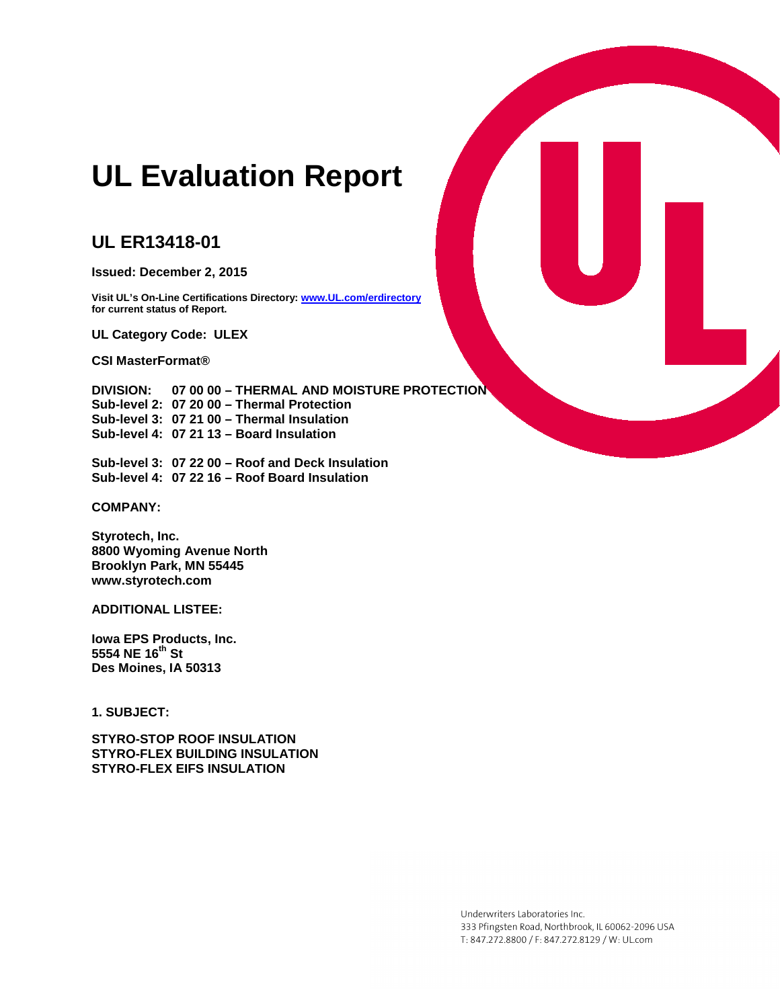# **UL Evaluation Report**

# **UL ER13418-01**

**Issued: December 2, 2015**

**Visit UL's On-Line Certifications Directory[: www.UL.com/erdirectory](http://www.ul.com/erdirectory) for current status of Report.** 

**UL Category Code: ULEX**

**CSI MasterFormat®**

**DIVISION: 07 00 00 – THERMAL AND MOISTURE PROTECTION Sub-level 2: 07 20 00 – Thermal Protection Sub-level 3: 07 21 00 – Thermal Insulation Sub-level 4: 07 21 13 – Board Insulation**

**Sub-level 3: 07 22 00 – Roof and Deck Insulation Sub-level 4: 07 22 16 – Roof Board Insulation**

**COMPANY:**

**Styrotech, Inc. 8800 Wyoming Avenue North Brooklyn Park, MN 55445 www.styrotech.com**

**ADDITIONAL LISTEE:**

**Iowa EPS Products, Inc. 5554 NE 16th St Des Moines, IA 50313**

**1. SUBJECT:** 

**STYRO-STOP ROOF INSULATION STYRO-FLEX BUILDING INSULATION STYRO-FLEX EIFS INSULATION**



Underwriters Laboratories Inc. 333 Pfingsten Road, Northbrook, IL 60062-2096 USA T: 847.272.8800 / F: 847.272.8129 / W: UL.com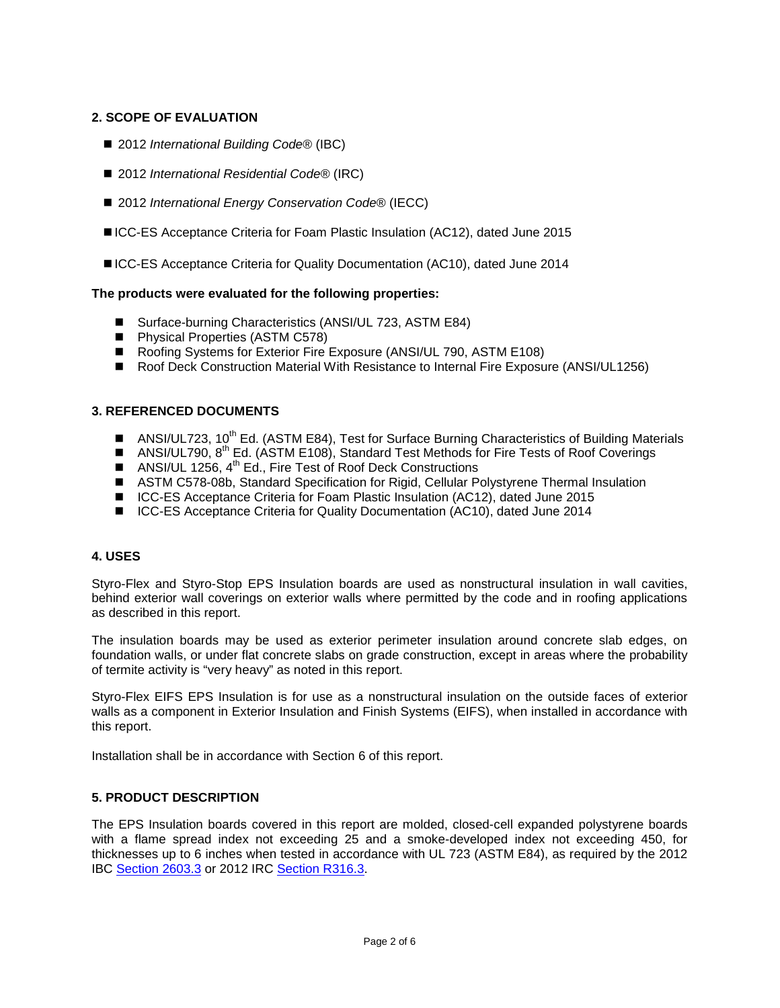# **2. SCOPE OF EVALUATION**

- 2012 *International Building Code*<sup>®</sup> (IBC)
- 2012 *International Residential Code<sup>®</sup>* (IRC)
- 2012 *International Energy Conservation Code®* (IECC)
- ICC-ES Acceptance Criteria for Foam Plastic Insulation (AC12), dated June 2015
- ICC-ES Acceptance Criteria for Quality Documentation (AC10), dated June 2014

# **The products were evaluated for the following properties:**

- Surface-burning Characteristics (ANSI/UL 723, ASTM E84)
- **Physical Properties (ASTM C578)**
- Roofing Systems for Exterior Fire Exposure (ANSI/UL 790, ASTM E108)
- Roof Deck Construction Material With Resistance to Internal Fire Exposure (ANSI/UL1256)

# **3. REFERENCED DOCUMENTS**

- ANSI/UL723, 10<sup>th</sup> Ed. (ASTM E84), Test for Surface Burning Characteristics of Building Materials
- ANSI/UL790,  $8^{th}$  Ed. (ASTM E108), Standard Test Methods for Fire Tests of Roof Coverings
- ANSI/UL 1256,  $4^{\text{th}}$  Ed., Fire Test of Roof Deck Constructions
- ASTM C578-08b, Standard Specification for Rigid, Cellular Polystyrene Thermal Insulation
- ICC-ES Acceptance Criteria for Foam Plastic Insulation (AC12), dated June 2015
- ICC-ES Acceptance Criteria for Quality Documentation (AC10), dated June 2014

#### **4. USES**

Styro-Flex and Styro-Stop EPS Insulation boards are used as nonstructural insulation in wall cavities, behind exterior wall coverings on exterior walls where permitted by the code and in roofing applications as described in this report.

The insulation boards may be used as exterior perimeter insulation around concrete slab edges, on foundation walls, or under flat concrete slabs on grade construction, except in areas where the probability of termite activity is "very heavy" as noted in this report.

Styro-Flex EIFS EPS Insulation is for use as a nonstructural insulation on the outside faces of exterior walls as a component in Exterior Insulation and Finish Systems (EIFS), when installed in accordance with this report.

Installation shall be in accordance with Section 6 of this report.

#### **5. PRODUCT DESCRIPTION**

The EPS Insulation boards covered in this report are molded, closed-cell expanded polystyrene boards with a flame spread index not exceeding 25 and a smoke-developed index not exceeding 450, for thicknesses up to 6 inches when tested in accordance with UL 723 (ASTM E84), as required by the 2012 IBC [Section 2603.3](http://publicecodes.cyberregs.com/icod/ibc/2012/icod_ibc_2012_26_par005.htm) or 2012 IRC [Section R316.3.](http://publicecodes.cyberregs.com/icod/irc/2012/icod_irc_2012_3_par210.htm?bu2=undefined)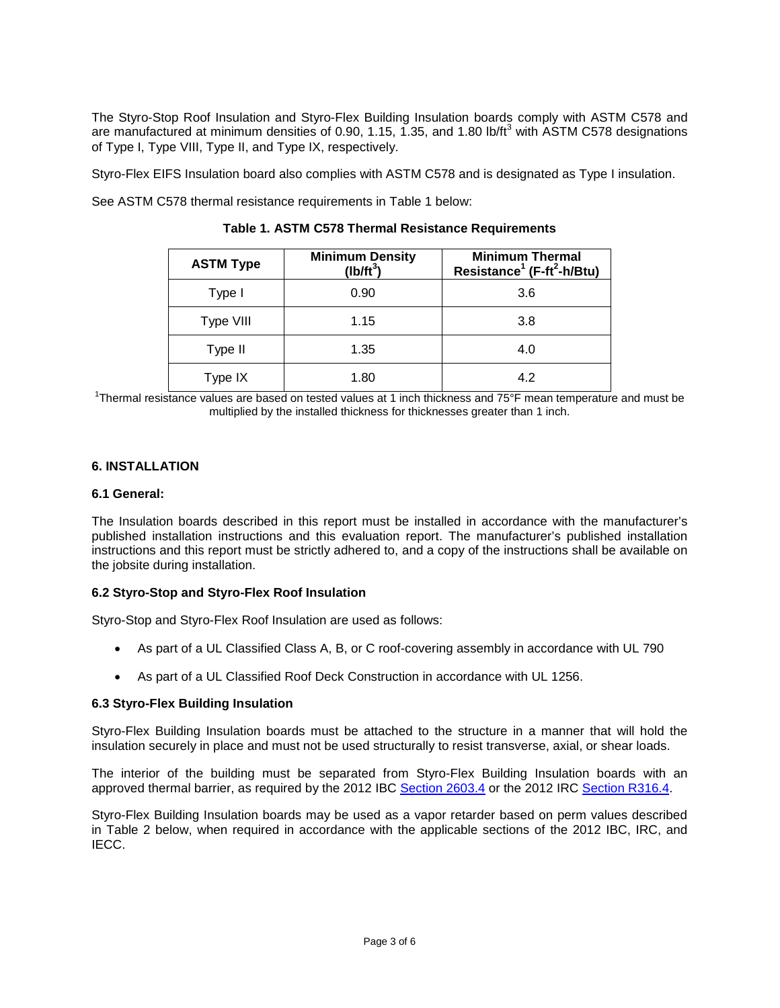The Styro-Stop Roof Insulation and Styro-Flex Building Insulation boards comply with ASTM C578 and are manufactured at minimum densities of 0.90, 1.15, 1.35, and 1.80 lb/ft<sup>3</sup> with ASTM C578 designations of Type I, Type VIII, Type II, and Type IX, respectively.

Styro-Flex EIFS Insulation board also complies with ASTM C578 and is designated as Type I insulation.

See ASTM C578 thermal resistance requirements in Table 1 below:

| <b>ASTM Type</b> | <b>Minimum Density</b><br>$(Ib/ft^3)$ | <b>Minimum Thermal</b><br>Resistance <sup>1</sup> (F-ft <sup>2</sup> -h/Btu) |
|------------------|---------------------------------------|------------------------------------------------------------------------------|
| Type I           | 0.90                                  | 3.6                                                                          |
| Type VIII        | 1.15                                  | 3.8                                                                          |
| Type II          | 1.35                                  | 4.0                                                                          |
| Type IX          | 1.80                                  | 4.2                                                                          |

### **Table 1. ASTM C578 Thermal Resistance Requirements**

<sup>1</sup>Thermal resistance values are based on tested values at 1 inch thickness and 75°F mean temperature and must be multiplied by the installed thickness for thicknesses greater than 1 inch.

#### **6. INSTALLATION**

#### **6.1 General:**

The Insulation boards described in this report must be installed in accordance with the manufacturer's published installation instructions and this evaluation report. The manufacturer's published installation instructions and this report must be strictly adhered to, and a copy of the instructions shall be available on the jobsite during installation.

#### **6.2 Styro-Stop and Styro-Flex Roof Insulation**

Styro-Stop and Styro-Flex Roof Insulation are used as follows:

- As part of a UL Classified Class A, B, or C roof-covering assembly in accordance with UL 790
- As part of a UL Classified Roof Deck Construction in accordance with UL 1256.

#### **6.3 Styro-Flex Building Insulation**

Styro-Flex Building Insulation boards must be attached to the structure in a manner that will hold the insulation securely in place and must not be used structurally to resist transverse, axial, or shear loads.

The interior of the building must be separated from Styro-Flex Building Insulation boards with an approved thermal barrier, as required by the 2012 IBC [Section 2603.4](http://publicecodes.cyberregs.com/icod/ibc/2012/icod_ibc_2012_26_par006.htm) or the 2012 IRC [Section R316.4.](http://publicecodes.cyberregs.com/icod/irc/2012/icod_irc_2012_3_par211.htm?bu2=undefined)

Styro-Flex Building Insulation boards may be used as a vapor retarder based on perm values described in Table 2 below, when required in accordance with the applicable sections of the 2012 IBC, IRC, and IECC.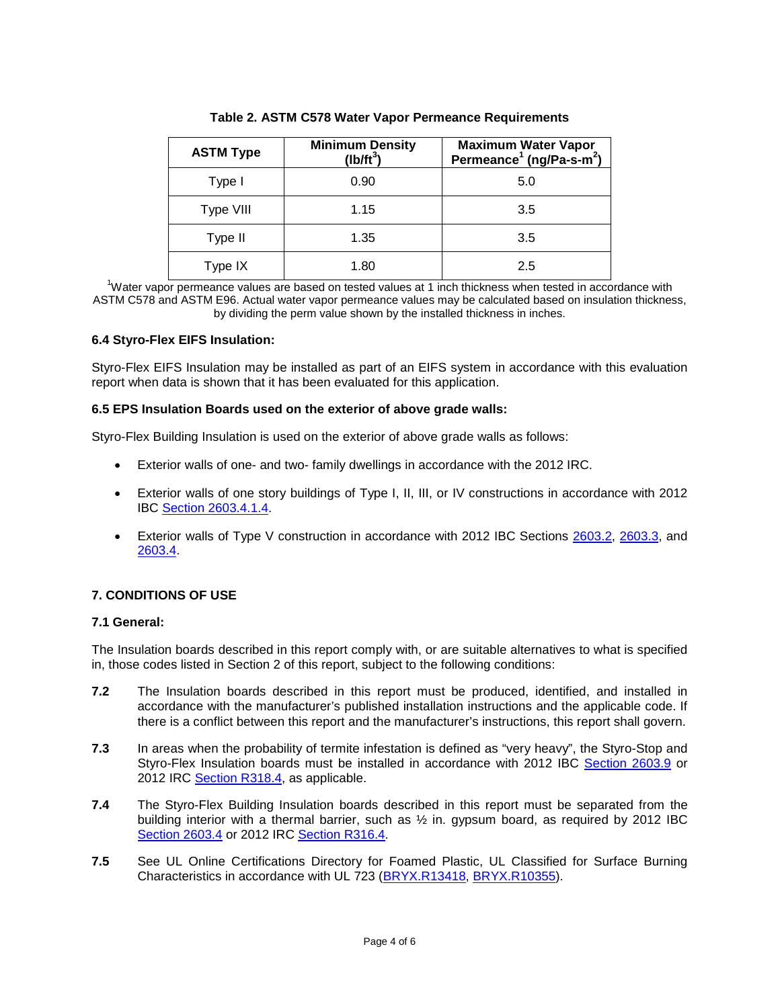| <b>ASTM Type</b> | <b>Minimum Density</b><br>$(Ib/ft^3)$ | <b>Maximum Water Vapor</b><br>Permeance <sup>1</sup> (ng/Pa-s-m <sup>2</sup> ) |
|------------------|---------------------------------------|--------------------------------------------------------------------------------|
| Type I           | 0.90                                  | 5.0                                                                            |
| Type VIII        | 1.15                                  | 3.5                                                                            |
| Type II          | 1.35                                  | 3.5                                                                            |
| Type IX          | 1.80                                  | 2.5                                                                            |

**Table 2. ASTM C578 Water Vapor Permeance Requirements**

<sup>1</sup>Water vapor permeance values are based on tested values at 1 inch thickness when tested in accordance with ASTM C578 and ASTM E96. Actual water vapor permeance values may be calculated based on insulation thickness, by dividing the perm value shown by the installed thickness in inches.

# **6.4 Styro-Flex EIFS Insulation:**

Styro-Flex EIFS Insulation may be installed as part of an EIFS system in accordance with this evaluation report when data is shown that it has been evaluated for this application.

#### **6.5 EPS Insulation Boards used on the exterior of above grade walls:**

Styro-Flex Building Insulation is used on the exterior of above grade walls as follows:

- Exterior walls of one- and two- family dwellings in accordance with the 2012 IRC.
- Exterior walls of one story buildings of Type I, II, III, or IV constructions in accordance with 2012 IBC [Section 2603.4.1.4.](http://publicecodes.cyberregs.com/icod/ibc/2012/icod_ibc_2012_26_par011.htm)
- Exterior walls of Type V construction in accordance with 2012 IBC Sections [2603.2,](http://publicecodes.cyberregs.com/icod/ibc/2012/icod_ibc_2012_26_par004.htm) [2603.3,](http://publicecodes.cyberregs.com/icod/ibc/2012/icod_ibc_2012_26_par005.htm) and [2603.4.](http://publicecodes.cyberregs.com/icod/ibc/2012/icod_ibc_2012_26_par006.htm)

# **7. CONDITIONS OF USE**

# **7.1 General:**

The Insulation boards described in this report comply with, or are suitable alternatives to what is specified in, those codes listed in Section 2 of this report, subject to the following conditions:

- **7.2** The Insulation boards described in this report must be produced, identified, and installed in accordance with the manufacturer's published installation instructions and the applicable code. If there is a conflict between this report and the manufacturer's instructions, this report shall govern.
- **7.3** In areas when the probability of termite infestation is defined as "very heavy", the Styro-Stop and Styro-Flex Insulation boards must be installed in accordance with 2012 IBC [Section 2603.9](http://publicecodes.cyberregs.com/icod/ibc/2012/icod_ibc_2012_26_par033.htm) or 2012 IRC [Section R318.4,](http://publicecodes.cyberregs.com/icod/irc/2012/icod_irc_2012_3_par249.htm) as applicable.
- **7.4** The Styro-Flex Building Insulation boards described in this report must be separated from the building interior with a thermal barrier, such as ½ in. gypsum board, as required by 2012 IBC [Section 2603.4](http://publicecodes.cyberregs.com/icod/ibc/2012/icod_ibc_2012_26_par006.htm) or 2012 IRC [Section R316.4.](http://publicecodes.cyberregs.com/icod/irc/2012/icod_irc_2012_3_par211.htm)
- **7.5** See UL Online Certifications Directory for Foamed Plastic, UL Classified for Surface Burning Characteristics in accordance with UL 723 [\(BRYX.R13418,](http://database.ul.com/cgi-bin/XYV/cgifind/LISEXT/1FRAME/srchres.html?collection=/data3/verity_collections/lisext&vdkhome=/data3/verity_sw_rev24/common&SORT_BY=textlines:asc,ccnshorttitle:asc&query=R13418%3cIN%3eFile_Number+and+bryx%3cIN%3eCCN) [BRYX.R10355\)](http://database.ul.com/cgi-bin/XYV/cgifind/LISEXT/1FRAME/srchres.html?collection=/data3/verity_collections/lisext&vdkhome=/data3/verity_sw_rev24/common&SORT_BY=textlines:asc,ccnshorttitle:asc&query=R10355%3CIN%3EFile_Number+and+bryx%3CIN%3ECCN).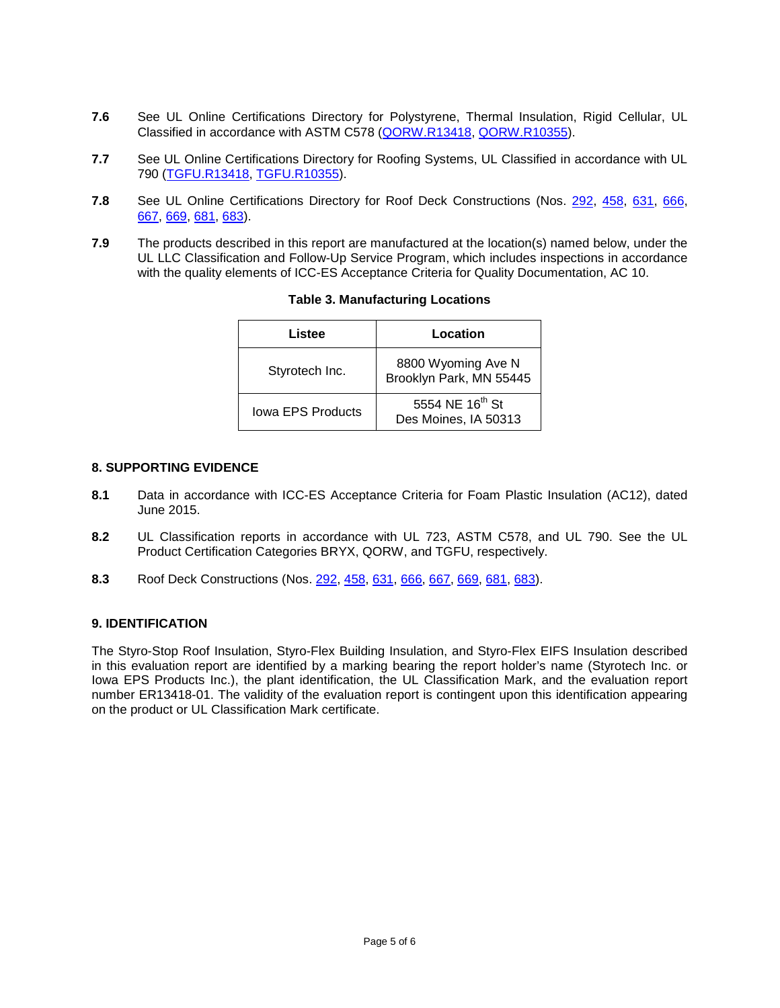- **7.6** See UL Online Certifications Directory for Polystyrene, Thermal Insulation, Rigid Cellular, UL Classified in accordance with ASTM C578 [\(QORW.R13418,](http://database.ul.com/cgi-bin/XYV/cgifind/LISEXT/1FRAME/srchres.html?collection=/data3/verity_collections/lisext&vdkhome=/data3/verity_sw_rev24/common&SORT_BY=textlines:asc,ccnshorttitle:asc&query=R13418%3cIN%3eFile_Number+and+QORW%3cIN%3eCCN) [QORW.R10355\)](http://database.ul.com/cgi-bin/XYV/cgifind/LISEXT/1FRAME/srchres.html?collection=/data3/verity_collections/lisext&vdkhome=/data3/verity_sw_rev24/common&SORT_BY=textlines:asc,ccnshorttitle:asc&query=R10355%3cIN%3eFile_Number+and+QORW%3cIN%3eCCN).
- **7.7** See UL Online Certifications Directory for Roofing Systems, UL Classified in accordance with UL 790 [\(TGFU.R13418,](http://database.ul.com/cgi-bin/XYV/cgifind/LISEXT/1FRAME/srchres.html?collection=/data3/verity_collections/lisext&vdkhome=/data3/verity_sw_rev24/common&SORT_BY=textlines:asc,ccnshorttitle:asc&query=R13418%3cIN%3eFile_Number+and+TGFU%3cIN%3eCCN) [TGFU.R10355\)](http://database.ul.com/cgi-bin/XYV/cgifind/LISEXT/1FRAME/srchres.html?collection=/data3/verity_collections/lisext&vdkhome=/data3/verity_sw_rev24/common&SORT_BY=textlines:asc,ccnshorttitle:asc&query=R10355%3cIN%3eFile_Number+and+TGFU%3cIN%3eCCN).
- **7.8** See UL Online Certifications Directory for Roof Deck Constructions (Nos. [292,](http://database.ul.com/cgi-bin/XYV/cgifind/LISEXT/1FRAME/srchres.html?collection=/data3/verity_collections/lisext&vdkhome=/data3/verity_sw_rev24/common&SORT_BY=textlines:asc,ccnshorttitle:asc&query=292%3cIN%3eFile_Number+and+TGKX%3cIN%3eCCN) [458,](http://database.ul.com/cgi-bin/XYV/cgifind/LISEXT/1FRAME/srchres.html?collection=/data3/verity_collections/lisext&vdkhome=/data3/verity_sw_rev24/common&SORT_BY=textlines:asc,ccnshorttitle:asc&query=458%3cIN%3eFile_Number+and+TGKX%3cIN%3eCCN) [631,](http://database.ul.com/cgi-bin/XYV/cgifind/LISEXT/1FRAME/srchres.html?collection=/data3/verity_collections/lisext&vdkhome=/data3/verity_sw_rev24/common&SORT_BY=textlines:asc,ccnshorttitle:asc&query=631%3cIN%3eFile_Number+and+TGKX%3cIN%3eCCN) [666,](http://database.ul.com/cgi-bin/XYV/cgifind/LISEXT/1FRAME/srchres.html?collection=/data3/verity_collections/lisext&vdkhome=/data3/verity_sw_rev24/common&SORT_BY=textlines:asc,ccnshorttitle:asc&query=666%3cIN%3eFile_Number+and+TGKX%3cIN%3eCCN) [667,](http://database.ul.com/cgi-bin/XYV/cgifind/LISEXT/1FRAME/srchres.html?collection=/data3/verity_collections/lisext&vdkhome=/data3/verity_sw_rev24/common&SORT_BY=textlines:asc,ccnshorttitle:asc&query=667%3cIN%3eFile_Number+and+TGKX%3cIN%3eCCN) [669,](http://database.ul.com/cgi-bin/XYV/cgifind/LISEXT/1FRAME/srchres.html?collection=/data3/verity_collections/lisext&vdkhome=/data3/verity_sw_rev24/common&SORT_BY=textlines:asc,ccnshorttitle:asc&query=669%3cIN%3eFile_Number+and+TGKX%3cIN%3eCCN) [681,](http://database.ul.com/cgi-bin/XYV/cgifind/LISEXT/1FRAME/srchres.html?collection=/data3/verity_collections/lisext&vdkhome=/data3/verity_sw_rev24/common&SORT_BY=textlines:asc,ccnshorttitle:asc&query=681%3cIN%3eFile_Number+and+TGKX%3cIN%3eCCN) [683\)](http://database.ul.com/cgi-bin/XYV/cgifind/LISEXT/1FRAME/srchres.html?collection=/data3/verity_collections/lisext&vdkhome=/data3/verity_sw_rev24/common&SORT_BY=textlines:asc,ccnshorttitle:asc&query=683%3cIN%3eFile_Number+and+TGKX%3cIN%3eCCN).
- **7.9** The products described in this report are manufactured at the location(s) named below, under the UL LLC Classification and Follow-Up Service Program, which includes inspections in accordance with the quality elements of ICC-ES Acceptance Criteria for Quality Documentation, AC 10.

| Listee            | Location                                            |
|-------------------|-----------------------------------------------------|
| Styrotech Inc.    | 8800 Wyoming Ave N<br>Brooklyn Park, MN 55445       |
| Jowa EPS Products | 5554 NE 16 <sup>th</sup> St<br>Des Moines, IA 50313 |

# **Table 3. Manufacturing Locations**

#### **8. SUPPORTING EVIDENCE**

- **8.1** Data in accordance with ICC-ES Acceptance Criteria for Foam Plastic Insulation (AC12), dated June 2015.
- **8.2** UL Classification reports in accordance with UL 723, ASTM C578, and UL 790. See the UL Product Certification Categories BRYX, QORW, and TGFU, respectively.
- **8.3** Roof Deck Constructions (Nos. [292,](http://database.ul.com/cgi-bin/XYV/cgifind/LISEXT/1FRAME/srchres.html?collection=/data3/verity_collections/lisext&vdkhome=/data3/verity_sw_rev24/common&SORT_BY=textlines:asc,ccnshorttitle:asc&query=292%3cIN%3eFile_Number+and+TGKX%3cIN%3eCCN) [458,](http://database.ul.com/cgi-bin/XYV/cgifind/LISEXT/1FRAME/srchres.html?collection=/data3/verity_collections/lisext&vdkhome=/data3/verity_sw_rev24/common&SORT_BY=textlines:asc,ccnshorttitle:asc&query=458%3cIN%3eFile_Number+and+TGKX%3cIN%3eCCN) [631,](http://database.ul.com/cgi-bin/XYV/cgifind/LISEXT/1FRAME/srchres.html?collection=/data3/verity_collections/lisext&vdkhome=/data3/verity_sw_rev24/common&SORT_BY=textlines:asc,ccnshorttitle:asc&query=631%3cIN%3eFile_Number+and+TGKX%3cIN%3eCCN) [666,](http://database.ul.com/cgi-bin/XYV/cgifind/LISEXT/1FRAME/srchres.html?collection=/data3/verity_collections/lisext&vdkhome=/data3/verity_sw_rev24/common&SORT_BY=textlines:asc,ccnshorttitle:asc&query=666%3cIN%3eFile_Number+and+TGKX%3cIN%3eCCN) [667,](http://database.ul.com/cgi-bin/XYV/cgifind/LISEXT/1FRAME/srchres.html?collection=/data3/verity_collections/lisext&vdkhome=/data3/verity_sw_rev24/common&SORT_BY=textlines:asc,ccnshorttitle:asc&query=667%3cIN%3eFile_Number+and+TGKX%3cIN%3eCCN) [669,](http://database.ul.com/cgi-bin/XYV/cgifind/LISEXT/1FRAME/srchres.html?collection=/data3/verity_collections/lisext&vdkhome=/data3/verity_sw_rev24/common&SORT_BY=textlines:asc,ccnshorttitle:asc&query=669%3cIN%3eFile_Number+and+TGKX%3cIN%3eCCN) [681,](http://database.ul.com/cgi-bin/XYV/cgifind/LISEXT/1FRAME/srchres.html?collection=/data3/verity_collections/lisext&vdkhome=/data3/verity_sw_rev24/common&SORT_BY=textlines:asc,ccnshorttitle:asc&query=681%3cIN%3eFile_Number+and+TGKX%3cIN%3eCCN) [683\)](http://database.ul.com/cgi-bin/XYV/cgifind/LISEXT/1FRAME/srchres.html?collection=/data3/verity_collections/lisext&vdkhome=/data3/verity_sw_rev24/common&SORT_BY=textlines:asc,ccnshorttitle:asc&query=683%3cIN%3eFile_Number+and+TGKX%3cIN%3eCCN).

# **9. IDENTIFICATION**

The Styro-Stop Roof Insulation, Styro-Flex Building Insulation, and Styro-Flex EIFS Insulation described in this evaluation report are identified by a marking bearing the report holder's name (Styrotech Inc. or Iowa EPS Products Inc.), the plant identification, the UL Classification Mark, and the evaluation report number ER13418-01. The validity of the evaluation report is contingent upon this identification appearing on the product or UL Classification Mark certificate.